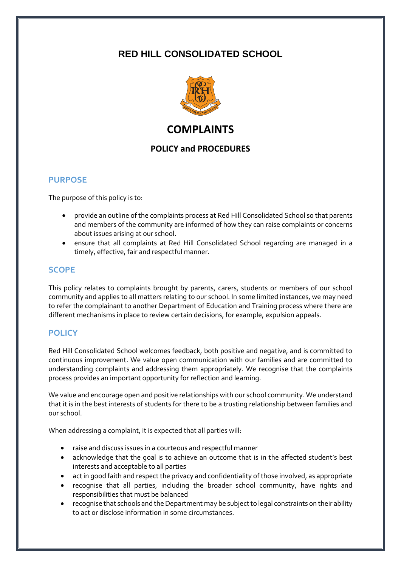# **RED HILL CONSOLIDATED SCHOOL**



# **COMPLAINTS**

## **POLICY and PROCEDURES**

## **PURPOSE**

The purpose of this policy is to:

- provide an outline of the complaints process at Red Hill Consolidated School so that parents and members of the community are informed of how they can raise complaints or concerns about issues arising at our school.
- ensure that all complaints at Red Hill Consolidated School regarding are managed in a timely, effective, fair and respectful manner.

### **SCOPE**

This policy relates to complaints brought by parents, carers, students or members of our school community and applies to all matters relating to our school. In some limited instances, we may need to refer the complainant to another Department of Education and Training process where there are different mechanisms in place to review certain decisions, for example, expulsion appeals.

## **POLICY**

Red Hill Consolidated School welcomes feedback, both positive and negative, and is committed to continuous improvement. We value open communication with our families and are committed to understanding complaints and addressing them appropriately. We recognise that the complaints process provides an important opportunity for reflection and learning.

We value and encourage open and positive relationships with our school community. We understand that it is in the best interests of students for there to be a trusting relationship between families and our school.

When addressing a complaint, it is expected that all parties will:

- raise and discuss issues in a courteous and respectful manner
- acknowledge that the goal is to achieve an outcome that is in the affected student's best interests and acceptable to all parties
- act in good faith and respect the privacy and confidentiality of those involved, as appropriate
- recognise that all parties, including the broader school community, have rights and responsibilities that must be balanced
- recognise that schools and the Department may be subject to legal constraints on their ability to act or disclose information in some circumstances.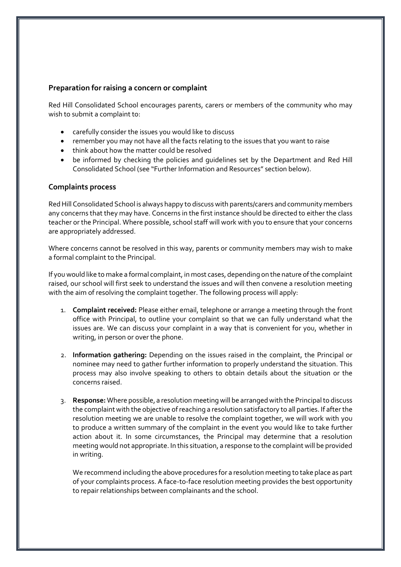#### **Preparation for raising a concern or complaint**

Red Hill Consolidated School encourages parents, carers or members of the community who may wish to submit a complaint to:

- carefully consider the issues you would like to discuss
- remember you may not have all the facts relating to the issues that you want to raise
- think about how the matter could be resolved
- be informed by checking the policies and guidelines set by the Department and Red Hill Consolidated School (see "Further Information and Resources" section below).

#### **Complaints process**

Red Hill Consolidated School is always happy to discuss with parents/carers and community members any concerns that they may have. Concerns in the first instance should be directed to either the class teacher or the Principal. Where possible, school staff will work with you to ensure that your concerns are appropriately addressed.

Where concerns cannot be resolved in this way, parents or community members may wish to make a formal complaint to the Principal.

If you would like to make a formal complaint, in most cases, depending on the nature of the complaint raised, our school will first seek to understand the issues and will then convene a resolution meeting with the aim of resolving the complaint together. The following process will apply:

- 1. **Complaint received:** Please either email, telephone or arrange a meeting through the front office with Principal, to outline your complaint so that we can fully understand what the issues are. We can discuss your complaint in a way that is convenient for you, whether in writing, in person or over the phone.
- 2. **Information gathering:** Depending on the issues raised in the complaint, the Principal or nominee may need to gather further information to properly understand the situation. This process may also involve speaking to others to obtain details about the situation or the concerns raised.
- 3. **Response:** Where possible, a resolution meeting will be arranged with the Principal to discuss the complaint with the objective of reaching a resolution satisfactory to all parties. If after the resolution meeting we are unable to resolve the complaint together, we will work with you to produce a written summary of the complaint in the event you would like to take further action about it. In some circumstances, the Principal may determine that a resolution meeting would not appropriate. In this situation, a response to the complaint will be provided in writing.

We recommend including the above procedures for a resolution meeting to take place as part of your complaints process. A face-to-face resolution meeting provides the best opportunity to repair relationships between complainants and the school.